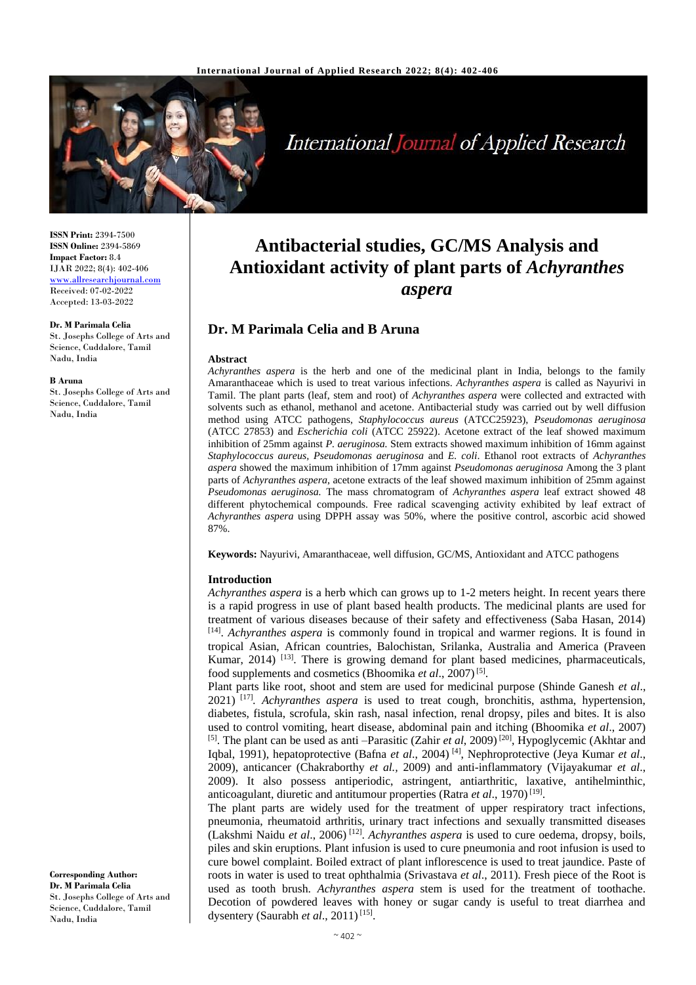

**International Journal of Applied Research** 

**ISSN Print:** 2394-7500 **ISSN Online:** 2394-5869 **Impact Factor:** 8.4 IJAR 2022; 8(4): 402-406 [www.allresearchjournal.com](http://www.allresearchjournal.com/) Received: 07-02-2022 Accepted: 13-03-2022

#### **Dr. M Parimala Celia**

St. Josephs College of Arts and Science, Cuddalore, Tamil Nadu, India

#### **B Aruna**

St. Josephs College of Arts and Science, Cuddalore, Tamil Nadu, India

#### **Corresponding Author: Dr. M Parimala Celia** St. Josephs College of Arts and Science, Cuddalore, Tamil Nadu, India

# **Antibacterial studies, GC/MS Analysis and Antioxidant activity of plant parts of** *Achyranthes aspera*

## **Dr. M Parimala Celia and B Aruna**

#### **Abstract**

*Achyranthes aspera* is the herb and one of the medicinal plant in India, belongs to the family Amaranthaceae which is used to treat various infections. *Achyranthes aspera* is called as Nayurivi in Tamil. The plant parts (leaf, stem and root) of *Achyranthes aspera* were collected and extracted with solvents such as ethanol, methanol and acetone. Antibacterial study was carried out by well diffusion method using ATCC pathogens, *Staphylococcus aureus* (ATCC25923), *Pseudomonas aeruginosa*  (ATCC 27853) and *Escherichia coli* (ATCC 25922). Acetone extract of the leaf showed maximum inhibition of 25mm against *P. aeruginosa.* Stem extracts showed maximum inhibition of 16mm against *Staphylococcus aureus, Pseudomonas aeruginosa* and *E. coli*. Ethanol root extracts of *Achyranthes aspera* showed the maximum inhibition of 17mm against *Pseudomonas aeruginosa* Among the 3 plant parts of *Achyranthes aspera*, acetone extracts of the leaf showed maximum inhibition of 25mm against *Pseudomonas aeruginosa.* The mass chromatogram of *Achyranthes aspera* leaf extract showed 48 different phytochemical compounds. Free radical scavenging activity exhibited by leaf extract of *Achyranthes aspera* using DPPH assay was 50%, where the positive control, ascorbic acid showed 87%.

**Keywords:** Nayurivi, Amaranthaceae, well diffusion, GC/MS, Antioxidant and ATCC pathogens

#### **Introduction**

*Achyranthes aspera* is a herb which can grows up to 1-2 meters height. In recent years there is a rapid progress in use of plant based health products. The medicinal plants are used for treatment of various diseases because of their safety and effectiveness (Saba Hasan, 2014) [14] . *Achyranthes aspera* is commonly found in tropical and warmer regions. It is found in tropical Asian, African countries, Balochistan, Srilanka, Australia and America (Praveen Kumar, 2014)<sup>[13]</sup>. There is growing demand for plant based medicines, pharmaceuticals, food supplements and cosmetics (Bhoomika et al., 2007)<sup>[5]</sup>.

Plant parts like root, shoot and stem are used for medicinal purpose (Shinde Ganesh *et al*., 2021) [17]*. Achyranthes aspera* is used to treat cough, bronchitis, asthma, hypertension, diabetes, fistula, scrofula, skin rash, nasal infection, renal dropsy, piles and bites. It is also used to control vomiting, heart disease, abdominal pain and itching (Bhoomika *et al*., 2007) [5]. The plant can be used as anti –Parasitic (Zahir *et al*, 2009) [20], Hypoglycemic (Akhtar and Iqbal, 1991), hepatoprotective (Bafna *et al*., 2004) [4], Nephroprotective (Jeya Kumar *et al*., 2009), anticancer (Chakraborthy *et al.,* 2009) and anti-inflammatory (Vijayakumar *et al*., 2009). It also possess antiperiodic, astringent, antiarthritic, laxative, antihelminthic, anticoagulant, diuretic and antitumour properties (Ratra et al., 1970)<sup>[19]</sup>.

The plant parts are widely used for the treatment of upper respiratory tract infections, pneumonia, rheumatoid arthritis, urinary tract infections and sexually transmitted diseases (Lakshmi Naidu *et al*., 2006) [12] . *Achyranthes aspera* is used to cure oedema, dropsy, boils, piles and skin eruptions. Plant infusion is used to cure pneumonia and root infusion is used to cure bowel complaint. Boiled extract of plant inflorescence is used to treat jaundice. Paste of roots in water is used to treat ophthalmia (Srivastava *et al*., 2011). Fresh piece of the Root is used as tooth brush. *Achyranthes aspera* stem is used for the treatment of toothache. Decotion of powdered leaves with honey or sugar candy is useful to treat diarrhea and dysentery (Saurabh et al., 2011)<sup>[15]</sup>.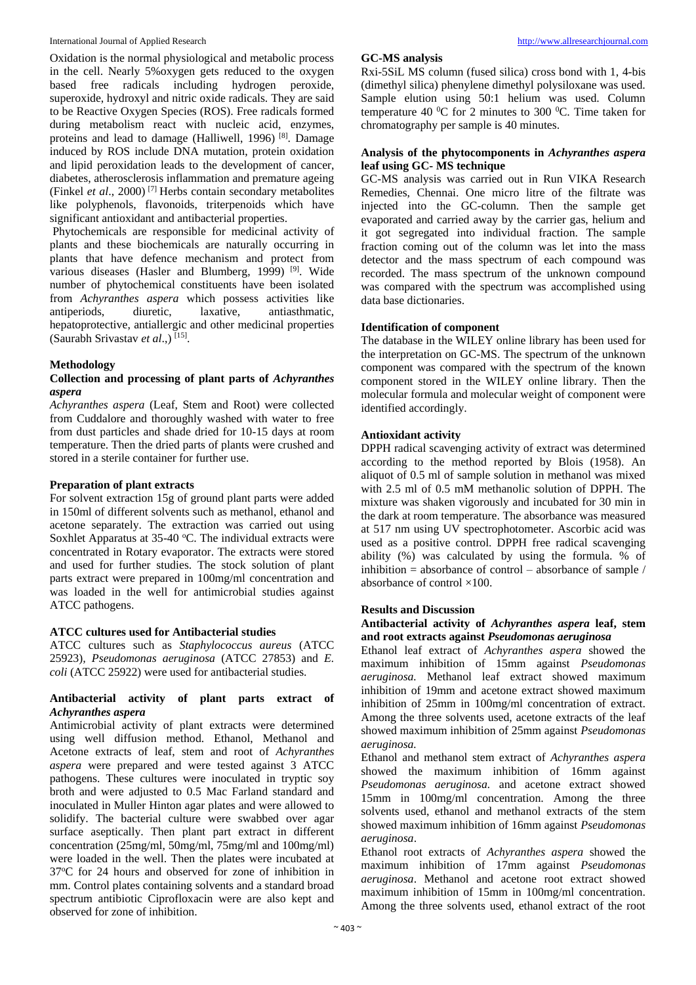Oxidation is the normal physiological and metabolic process in the cell. Nearly 5%oxygen gets reduced to the oxygen based free radicals including hydrogen peroxide, superoxide, hydroxyl and nitric oxide radicals. They are said to be Reactive Oxygen Species (ROS). Free radicals formed during metabolism react with nucleic acid, enzymes, proteins and lead to damage (Halliwell, 1996) [8]. Damage induced by ROS include DNA mutation, protein oxidation and lipid peroxidation leads to the development of cancer, diabetes, atherosclerosis inflammation and premature ageing (Finkel *et al*., 2000) [7] Herbs contain secondary metabolites like polyphenols, flavonoids, triterpenoids which have significant antioxidant and antibacterial properties.

Phytochemicals are responsible for medicinal activity of plants and these biochemicals are naturally occurring in plants that have defence mechanism and protect from various diseases (Hasler and Blumberg, 1999)<sup>[9]</sup>. Wide number of phytochemical constituents have been isolated from *Achyranthes aspera* which possess activities like antiperiods, diuretic, laxative, antiasthmatic, hepatoprotective, antiallergic and other medicinal properties (Saurabh Srivastav *et al*.,) [15] .

## **Methodology**

#### **Collection and processing of plant parts of** *Achyranthes aspera*

*Achyranthes aspera* (Leaf, Stem and Root) were collected from Cuddalore and thoroughly washed with water to free from dust particles and shade dried for 10-15 days at room temperature. Then the dried parts of plants were crushed and stored in a sterile container for further use.

#### **Preparation of plant extracts**

For solvent extraction 15g of ground plant parts were added in 150ml of different solvents such as methanol, ethanol and acetone separately. The extraction was carried out using Soxhlet Apparatus at  $35-40$  °C. The individual extracts were concentrated in Rotary evaporator. The extracts were stored and used for further studies. The stock solution of plant parts extract were prepared in 100mg/ml concentration and was loaded in the well for antimicrobial studies against ATCC pathogens.

#### **ATCC cultures used for Antibacterial studies**

ATCC cultures such as *Staphylococcus aureus* (ATCC 25923)*, Pseudomonas aeruginosa* (ATCC 27853) and *E. coli* (ATCC 25922) were used for antibacterial studies.

#### **Antibacterial activity of plant parts extract of**  *Achyranthes aspera*

Antimicrobial activity of plant extracts were determined using well diffusion method. Ethanol, Methanol and Acetone extracts of leaf, stem and root of *Achyranthes aspera* were prepared and were tested against 3 ATCC pathogens. These cultures were inoculated in tryptic soy broth and were adjusted to 0.5 Mac Farland standard and inoculated in Muller Hinton agar plates and were allowed to solidify. The bacterial culture were swabbed over agar surface aseptically. Then plant part extract in different concentration (25mg/ml, 50mg/ml, 75mg/ml and 100mg/ml) were loaded in the well. Then the plates were incubated at 37<sup>o</sup>C for 24 hours and observed for zone of inhibition in mm. Control plates containing solvents and a standard broad spectrum antibiotic Ciprofloxacin were are also kept and observed for zone of inhibition.

#### **GC-MS analysis**

Rxi-5SiL MS column (fused silica) cross bond with 1, 4-bis (dimethyl silica) phenylene dimethyl polysiloxane was used. Sample elution using 50:1 helium was used. Column temperature 40  $^{\circ}$ C for 2 minutes to 300  $^{\circ}$ C. Time taken for chromatography per sample is 40 minutes.

#### **Analysis of the phytocomponents in** *Achyranthes aspera* **leaf using GC- MS technique**

GC-MS analysis was carried out in Run VIKA Research Remedies, Chennai. One micro litre of the filtrate was injected into the GC-column. Then the sample get evaporated and carried away by the carrier gas, helium and it got segregated into individual fraction. The sample fraction coming out of the column was let into the mass detector and the mass spectrum of each compound was recorded. The mass spectrum of the unknown compound was compared with the spectrum was accomplished using data base dictionaries.

## **Identification of component**

The database in the WILEY online library has been used for the interpretation on GC-MS. The spectrum of the unknown component was compared with the spectrum of the known component stored in the WILEY online library. Then the molecular formula and molecular weight of component were identified accordingly.

## **Antioxidant activity**

DPPH radical scavenging activity of extract was determined according to the method reported by Blois (1958). An aliquot of 0.5 ml of sample solution in methanol was mixed with 2.5 ml of 0.5 mM methanolic solution of DPPH. The mixture was shaken vigorously and incubated for 30 min in the dark at room temperature. The absorbance was measured at 517 nm using UV spectrophotometer. Ascorbic acid was used as a positive control. DPPH free radical scavenging ability (%) was calculated by using the formula. % of inhibition = absorbance of control – absorbance of sample / absorbance of control ×100.

#### **Results and Discussion**

#### **Antibacterial activity of** *Achyranthes aspera* **leaf, stem and root extracts against** *Pseudomonas aeruginosa*

Ethanol leaf extract of *Achyranthes aspera* showed the maximum inhibition of 15mm against *Pseudomonas aeruginosa.* Methanol leaf extract showed maximum inhibition of 19mm and acetone extract showed maximum inhibition of 25mm in 100mg/ml concentration of extract. Among the three solvents used, acetone extracts of the leaf showed maximum inhibition of 25mm against *Pseudomonas aeruginosa.*

Ethanol and methanol stem extract of *Achyranthes aspera* showed the maximum inhibition of 16mm against *Pseudomonas aeruginosa.* and acetone extract showed 15mm in 100mg/ml concentration. Among the three solvents used, ethanol and methanol extracts of the stem showed maximum inhibition of 16mm against *Pseudomonas aeruginosa*.

Ethanol root extracts of *Achyranthes aspera* showed the maximum inhibition of 17mm against *Pseudomonas aeruginosa*. Methanol and acetone root extract showed maximum inhibition of 15mm in 100mg/ml concentration. Among the three solvents used, ethanol extract of the root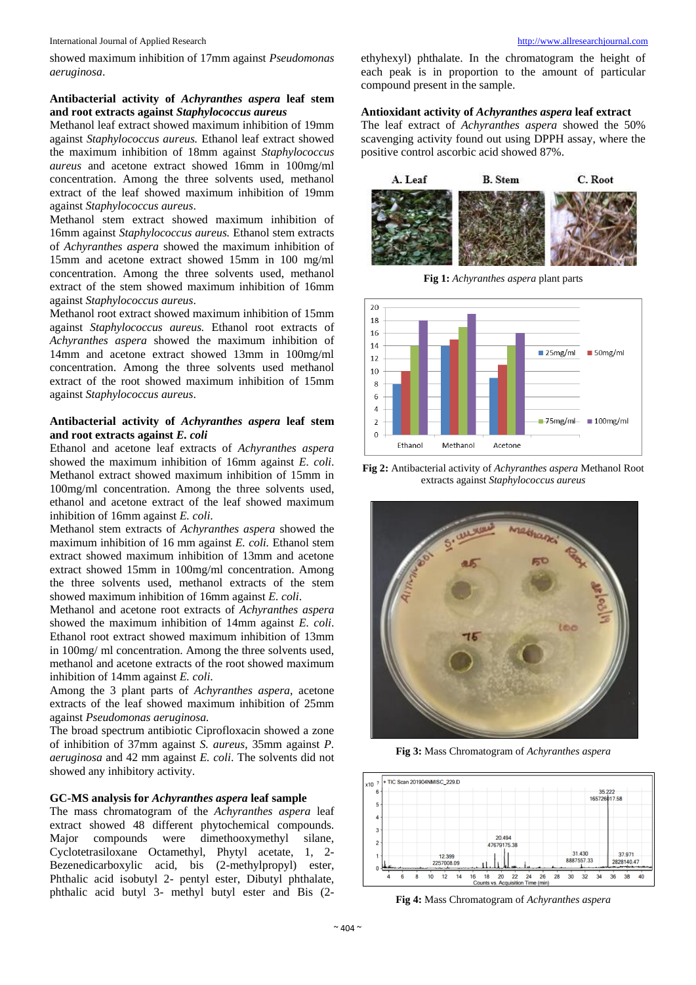International Journal of Applied Research [http://www.allresearchjournal.com](http://www.allresearchjournal.com/)

showed maximum inhibition of 17mm against *Pseudomonas aeruginosa*.

#### **Antibacterial activity of** *Achyranthes aspera* **leaf stem and root extracts against** *Staphylococcus aureus*

Methanol leaf extract showed maximum inhibition of 19mm against *Staphylococcus aureus.* Ethanol leaf extract showed the maximum inhibition of 18mm against *Staphylococcus aureus* and acetone extract showed 16mm in 100mg/ml concentration. Among the three solvents used, methanol extract of the leaf showed maximum inhibition of 19mm against *Staphylococcus aureus*.

Methanol stem extract showed maximum inhibition of 16mm against *Staphylococcus aureus.* Ethanol stem extracts of *Achyranthes aspera* showed the maximum inhibition of 15mm and acetone extract showed 15mm in 100 mg/ml concentration. Among the three solvents used, methanol extract of the stem showed maximum inhibition of 16mm against *Staphylococcus aureus*.

Methanol root extract showed maximum inhibition of 15mm against *Staphylococcus aureus.* Ethanol root extracts of *Achyranthes aspera* showed the maximum inhibition of 14mm and acetone extract showed 13mm in 100mg/ml concentration. Among the three solvents used methanol extract of the root showed maximum inhibition of 15mm against *Staphylococcus aureus*.

#### **Antibacterial activity of** *Achyranthes aspera* **leaf stem and root extracts against** *E. coli*

Ethanol and acetone leaf extracts of *Achyranthes aspera* showed the maximum inhibition of 16mm against *E. coli*. Methanol extract showed maximum inhibition of 15mm in 100mg/ml concentration. Among the three solvents used, ethanol and acetone extract of the leaf showed maximum inhibition of 16mm against *E. coli*.

Methanol stem extracts of *Achyranthes aspera* showed the maximum inhibition of 16 mm against *E. coli.* Ethanol stem extract showed maximum inhibition of 13mm and acetone extract showed 15mm in 100mg/ml concentration. Among the three solvents used, methanol extracts of the stem showed maximum inhibition of 16mm against *E. coli*.

Methanol and acetone root extracts of *Achyranthes aspera* showed the maximum inhibition of 14mm against *E. coli*. Ethanol root extract showed maximum inhibition of 13mm in 100mg/ ml concentration. Among the three solvents used, methanol and acetone extracts of the root showed maximum inhibition of 14mm against *E. coli*.

Among the 3 plant parts of *Achyranthes aspera*, acetone extracts of the leaf showed maximum inhibition of 25mm against *Pseudomonas aeruginosa.*

The broad spectrum antibiotic Ciprofloxacin showed a zone of inhibition of 37mm against *S. aureus*, 35mm against *P. aeruginosa* and 42 mm against *E. coli*. The solvents did not showed any inhibitory activity.

#### **GC-MS analysis for** *Achyranthes aspera* **leaf sample**

The mass chromatogram of the *Achyranthes aspera* leaf extract showed 48 different phytochemical compounds. Major compounds were dimethooxymethyl silane, Cyclotetrasiloxane Octamethyl, Phytyl acetate, 1, 2- Bezenedicarboxylic acid, bis (2-methylpropyl) ester, Phthalic acid isobutyl 2- pentyl ester, Dibutyl phthalate, phthalic acid butyl 3- methyl butyl ester and Bis (2ethyhexyl) phthalate. In the chromatogram the height of each peak is in proportion to the amount of particular compound present in the sample.

## **Antioxidant activity of** *Achyranthes aspera* **leaf extract**

The leaf extract of *Achyranthes aspera* showed the 50% scavenging activity found out using DPPH assay, where the positive control ascorbic acid showed 87%.



**Fig 1:** *Achyranthes aspera* plant parts



**Fig 2:** Antibacterial activity of *Achyranthes aspera* Methanol Root extracts against *Staphylococcus aureus*



**Fig 3:** Mass Chromatogram of *Achyranthes aspera*



**Fig 4:** Mass Chromatogram of *Achyranthes aspera*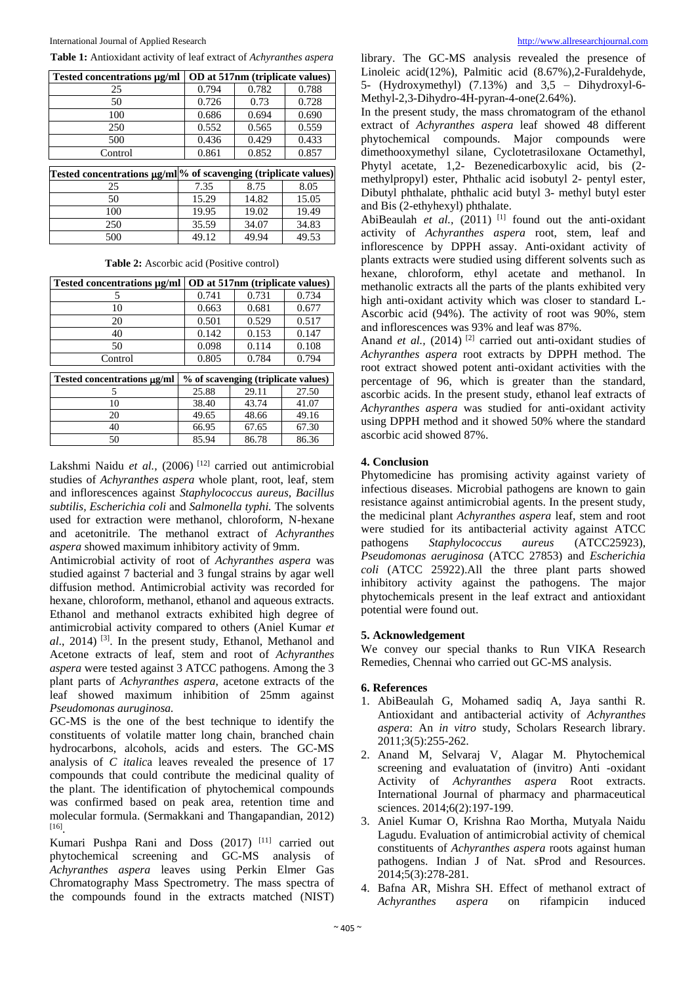| Tested concentrations µg/ml                                     | OD at 517nm (triplicate values) |       |       |  |
|-----------------------------------------------------------------|---------------------------------|-------|-------|--|
| 25                                                              | 0.794                           | 0.782 | 0.788 |  |
| 50                                                              | 0.726                           | 0.73  | 0.728 |  |
| 100                                                             | 0.686                           | 0.694 | 0.690 |  |
| 250                                                             | 0.552                           | 0.565 | 0.559 |  |
| 500                                                             | 0.436                           | 0.429 | 0.433 |  |
| Control                                                         | 0.861                           | 0.852 | 0.857 |  |
|                                                                 |                                 |       |       |  |
| Tested concentrations µg/ml % of scavenging (triplicate values) |                                 |       |       |  |
| 25                                                              | 7.35                            | 8.75  | 8.05  |  |
| 50                                                              | 15.29                           | 14.82 | 15.05 |  |
| 100                                                             | 19.95                           | 19.02 | 19.49 |  |
| 250                                                             | 35.59                           | 34.07 | 34.83 |  |
| 500                                                             | 49.12                           | 49.94 | 49.53 |  |

**Table 1:** Antioxidant activity of leaf extract of *Achyranthes aspera*

**Table 2:** Ascorbic acid (Positive control)

| Tested concentrations µg/ml      | OD at 517nm (triplicate values)     |       |       |  |
|----------------------------------|-------------------------------------|-------|-------|--|
| 5                                | 0.741                               | 0.731 | 0.734 |  |
| 10                               | 0.663                               | 0.681 | 0.677 |  |
| 20                               | 0.501                               | 0.529 | 0.517 |  |
| 40                               | 0.142                               | 0.153 | 0.147 |  |
| 50                               | 0.098                               | 0.114 | 0.108 |  |
| Control                          | 0.805                               | 0.784 | 0.794 |  |
|                                  |                                     |       |       |  |
| Tested concentrations $\mu$ g/ml | % of scavenging (triplicate values) |       |       |  |
| 5                                | 25.88                               | 29.11 | 27.50 |  |
| 10                               | 38.40                               | 43.74 | 41.07 |  |
| 20                               | 49.65                               | 48.66 | 49.16 |  |
| 40                               | 66.95                               | 67.65 | 67.30 |  |
| 50                               | 85.94                               | 86.78 | 86.36 |  |

Lakshmi Naidu et al., (2006)<sup>[12]</sup> carried out antimicrobial studies of *Achyranthes aspera* whole plant, root, leaf, stem and inflorescences against *Staphylococcus aureus, Bacillus subtilis, Escherichia coli* and *Salmonella typhi.* The solvents used for extraction were methanol, chloroform, N-hexane and acetonitrile. The methanol extract of *Achyranthes aspera* showed maximum inhibitory activity of 9mm.

Antimicrobial activity of root of *Achyranthes aspera* was studied against 7 bacterial and 3 fungal strains by agar well diffusion method. Antimicrobial activity was recorded for hexane, chloroform, methanol, ethanol and aqueous extracts. Ethanol and methanol extracts exhibited high degree of antimicrobial activity compared to others (Aniel Kumar *et al*., 2014) [3]. In the present study, Ethanol, Methanol and Acetone extracts of leaf, stem and root of *Achyranthes aspera* were tested against 3 ATCC pathogens. Among the 3 plant parts of *Achyranthes aspera*, acetone extracts of the leaf showed maximum inhibition of 25mm against *Pseudomonas auruginosa.*

GC-MS is the one of the best technique to identify the constituents of volatile matter long chain, branched chain hydrocarbons, alcohols, acids and esters. The GC-MS analysis of *C italic*a leaves revealed the presence of 17 compounds that could contribute the medicinal quality of the plant. The identification of phytochemical compounds was confirmed based on peak area, retention time and molecular formula. (Sermakkani and Thangapandian, 2012) [16] .

Kumari Pushpa Rani and Doss (2017) [11] carried out phytochemical screening and GC-MS analysis of *Achyranthes aspera* leaves using Perkin Elmer Gas Chromatography Mass Spectrometry. The mass spectra of the compounds found in the extracts matched (NIST) library. The GC-MS analysis revealed the presence of Linoleic acid(12%), Palmitic acid (8.67%),2-Furaldehyde, 5- (Hydroxymethyl) (7.13%) and 3,5 – Dihydroxyl-6- Methyl-2,3-Dihydro-4H-pyran-4-one(2.64%).

In the present study, the mass chromatogram of the ethanol extract of *Achyranthes aspera* leaf showed 48 different phytochemical compounds. Major compounds were dimethooxymethyl silane, Cyclotetrasiloxane Octamethyl, Phytyl acetate, 1,2- Bezenedicarboxylic acid, bis (2 methylpropyl) ester, Phthalic acid isobutyl 2- pentyl ester, Dibutyl phthalate, phthalic acid butyl 3- methyl butyl ester and Bis (2-ethyhexyl) phthalate.

AbiBeaulah *et al.*,  $(2011)$ <sup>[1]</sup> found out the anti-oxidant activity of *Achyranthes aspera* root, stem, leaf and inflorescence by DPPH assay. Anti-oxidant activity of plants extracts were studied using different solvents such as hexane, chloroform, ethyl acetate and methanol. In methanolic extracts all the parts of the plants exhibited very high anti-oxidant activity which was closer to standard L-Ascorbic acid (94%). The activity of root was 90%, stem and inflorescences was 93% and leaf was 87%.

Anand *et al.*, (2014)<sup>[2]</sup> carried out anti-oxidant studies of *Achyranthes aspera* root extracts by DPPH method. The root extract showed potent anti-oxidant activities with the percentage of 96, which is greater than the standard, ascorbic acids. In the present study, ethanol leaf extracts of *Achyranthes aspera* was studied for anti-oxidant activity using DPPH method and it showed 50% where the standard ascorbic acid showed 87%.

## **4. Conclusion**

Phytomedicine has promising activity against variety of infectious diseases. Microbial pathogens are known to gain resistance against antimicrobial agents. In the present study, the medicinal plant *Achyranthes aspera* leaf, stem and root were studied for its antibacterial activity against ATCC pathogens *Staphylococcus aureus* (ATCC25923), *Pseudomonas aeruginosa* (ATCC 27853) and *Escherichia coli* (ATCC 25922).All the three plant parts showed inhibitory activity against the pathogens. The major phytochemicals present in the leaf extract and antioxidant potential were found out.

#### **5. Acknowledgement**

We convey our special thanks to Run VIKA Research Remedies, Chennai who carried out GC-MS analysis.

#### **6. References**

- 1. AbiBeaulah G, Mohamed sadiq A, Jaya santhi R. Antioxidant and antibacterial activity of *Achyranthes aspera*: An *in vitro* study, Scholars Research library. 2011;3(5):255-262.
- 2. Anand M, Selvaraj V, Alagar M. Phytochemical screening and evaluatation of (invitro) Anti -oxidant Activity of *Achyranthes aspera* Root extracts. International Journal of pharmacy and pharmaceutical sciences. 2014;6(2):197-199.
- 3. Aniel Kumar O, Krishna Rao Mortha, Mutyala Naidu Lagudu. Evaluation of antimicrobial activity of chemical constituents of *Achyranthes aspera* roots against human pathogens. Indian J of Nat. sProd and Resources. 2014;5(3):278-281.
- 4. Bafna AR, Mishra SH. Effect of methanol extract of *Achyranthes aspera* on rifampicin induced